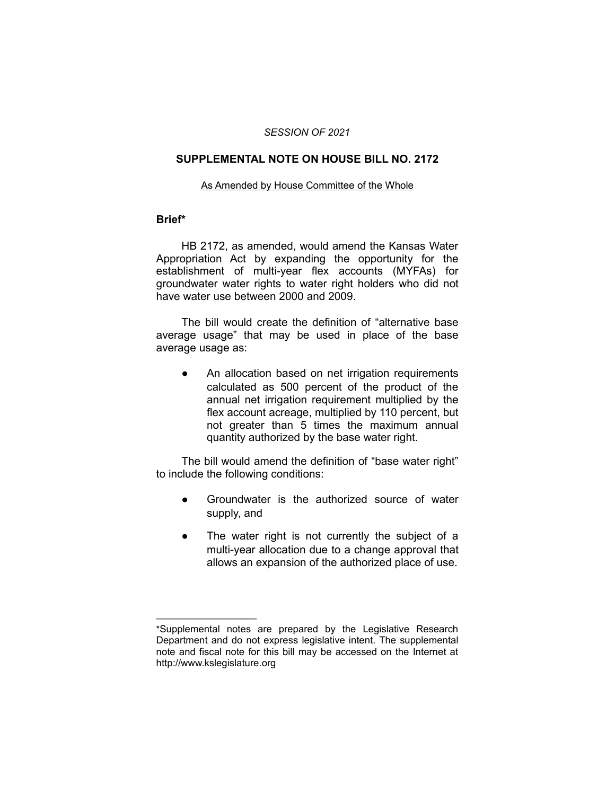#### *SESSION OF 2021*

#### **SUPPLEMENTAL NOTE ON HOUSE BILL NO. 2172**

#### As Amended by House Committee of the Whole

#### **Brief\***

HB 2172, as amended, would amend the Kansas Water Appropriation Act by expanding the opportunity for the establishment of multi-year flex accounts (MYFAs) for groundwater water rights to water right holders who did not have water use between 2000 and 2009.

The bill would create the definition of "alternative base average usage" that may be used in place of the base average usage as:

● An allocation based on net irrigation requirements calculated as 500 percent of the product of the annual net irrigation requirement multiplied by the flex account acreage, multiplied by 110 percent, but not greater than 5 times the maximum annual quantity authorized by the base water right.

The bill would amend the definition of "base water right" to include the following conditions:

- Groundwater is the authorized source of water supply, and
- The water right is not currently the subject of a multi-year allocation due to a change approval that allows an expansion of the authorized place of use.

 $\overline{\phantom{a}}$  , where  $\overline{\phantom{a}}$  , where  $\overline{\phantom{a}}$ 

<sup>\*</sup>Supplemental notes are prepared by the Legislative Research Department and do not express legislative intent. The supplemental note and fiscal note for this bill may be accessed on the Internet at http://www.kslegislature.org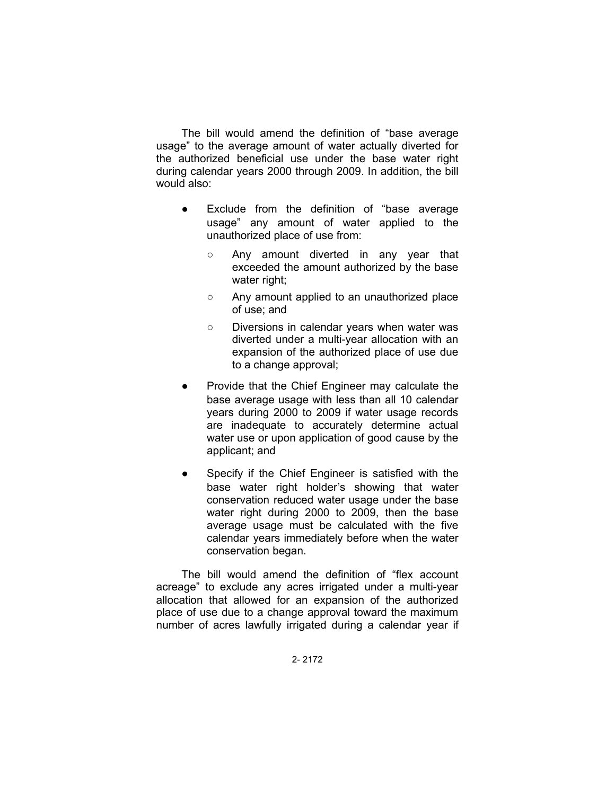The bill would amend the definition of "base average usage" to the average amount of water actually diverted for the authorized beneficial use under the base water right during calendar years 2000 through 2009. In addition, the bill would also:

- Exclude from the definition of "base average usage" any amount of water applied to the unauthorized place of use from:
	- Any amount diverted in any year that exceeded the amount authorized by the base water right;
	- Any amount applied to an unauthorized place of use; and
	- Diversions in calendar years when water was diverted under a multi-year allocation with an expansion of the authorized place of use due to a change approval;
- Provide that the Chief Engineer may calculate the base average usage with less than all 10 calendar years during 2000 to 2009 if water usage records are inadequate to accurately determine actual water use or upon application of good cause by the applicant; and
- Specify if the Chief Engineer is satisfied with the base water right holder's showing that water conservation reduced water usage under the base water right during 2000 to 2009, then the base average usage must be calculated with the five calendar years immediately before when the water conservation began.

The bill would amend the definition of "flex account acreage" to exclude any acres irrigated under a multi-year allocation that allowed for an expansion of the authorized place of use due to a change approval toward the maximum number of acres lawfully irrigated during a calendar year if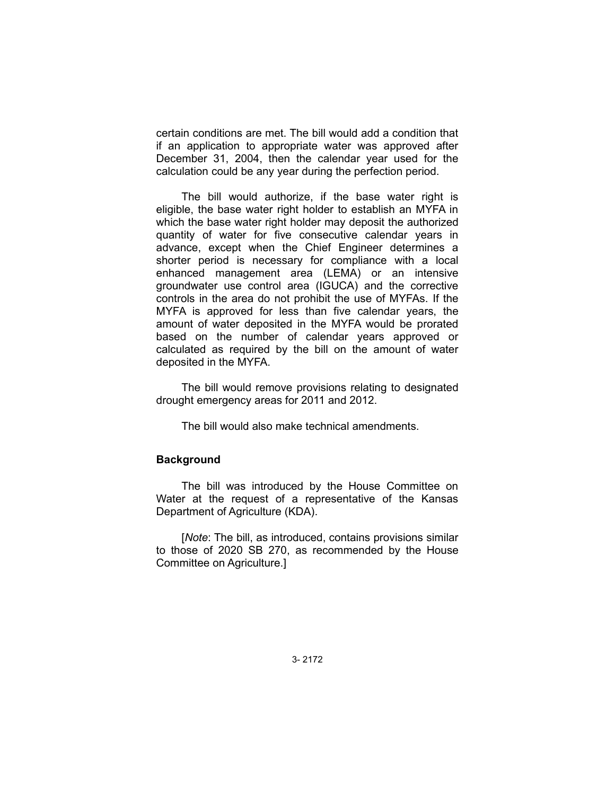certain conditions are met. The bill would add a condition that if an application to appropriate water was approved after December 31, 2004, then the calendar year used for the calculation could be any year during the perfection period.

The bill would authorize, if the base water right is eligible, the base water right holder to establish an MYFA in which the base water right holder may deposit the authorized quantity of water for five consecutive calendar years in advance, except when the Chief Engineer determines a shorter period is necessary for compliance with a local enhanced management area (LEMA) or an intensive groundwater use control area (IGUCA) and the corrective controls in the area do not prohibit the use of MYFAs. If the MYFA is approved for less than five calendar years, the amount of water deposited in the MYFA would be prorated based on the number of calendar years approved or calculated as required by the bill on the amount of water deposited in the MYFA.

The bill would remove provisions relating to designated drought emergency areas for 2011 and 2012.

The bill would also make technical amendments.

## **Background**

The bill was introduced by the House Committee on Water at the request of a representative of the Kansas Department of Agriculture (KDA).

[*Note*: The bill, as introduced, contains provisions similar to those of 2020 SB 270, as recommended by the House Committee on Agriculture.]